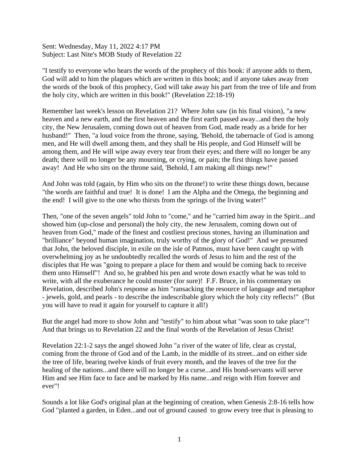Sent: Wednesday, May 11, 2022 4:17 PM Subject: Last Nite's MOB Study of Revelation 22

"I testify to everyone who hears the words of the prophecy of this book: if anyone adds to them, God will add to him the plagues which are written in this book; and if anyone takes away from the words of the book of this prophecy, God will take away his part from the tree of life and from the holy city, which are written in this book!" (Revelation 22:18-19)

Remember last week's lesson on Revelation 21? Where John saw (in his final vision), "a new heaven and a new earth, and the first heaven and the first earth passed away...and then the holy city, the New Jerusalem, coming down out of heaven from God, made ready as a bride for her husband!" Then, "a loud voice from the throne, saying, 'Behold, the tabernacle of God is among men, and He will dwell among them, and they shall be His people, and God Himself will be among them, and He will wipe away every tear from their eyes; and there will no longer be any death; there will no longer be any mourning, or crying, or pain; the first things have passed away! And He who sits on the throne said, 'Behold, I am making all things new!"

And John was told (again, by Him who sits on the throne!) to write these things down, because "the words are faithful and true! It is done! I am the Alpha and the Omega, the beginning and the end! I will give to the one who thirsts from the springs of the living water!"

Then, "one of the seven angels" told John to "come," and he "carried him away in the Spirit...and showed him (up-close and personal) the holy city, the new Jerusalem, coming down out of heaven from God," made of the finest and costliest precious stones, having an illumination and "brilliance" beyond human imagination, truly worthy of the glory of God!" And we presumed that John, the beloved disciple, in exile on the isle of Patmos, must have been caught up with overwhelming joy as he undoubtedly recalled the words of Jesus to him and the rest of the disciples that He was "going to prepare a place for them and would be coming back to receive them unto Himself"! And so, he grabbed his pen and wrote down exactly what he was told to write, with all the exuberance he could muster (for sure)! F.F. Bruce, in his commentary on Revelation, described John's response as him "ransacking the resource of language and metaphor - jewels, gold, and pearls - to describe the indescribable glory which the holy city reflects!" (But you will have to read it again for yourself to capture it all!)

But the angel had more to show John and "testify" to him about what "was soon to take place"! And that brings us to Revelation 22 and the final words of the Revelation of Jesus Christ!

Revelation 22:1-2 says the angel showed John "a river of the water of life, clear as crystal, coming from the throne of God and of the Lamb, in the middle of its street...and on either side the tree of life, bearing twelve kinds of fruit every month, and the leaves of the tree for the healing of the nations...and there will no longer be a curse...and His bond-servants will serve Him and see Him face to face and be marked by His name...and reign with Him forever and ever"!

Sounds a lot like God's original plan at the beginning of creation, when Genesis 2:8-16 tells how God "planted a garden, in Eden...and out of ground caused to grow every tree that is pleasing to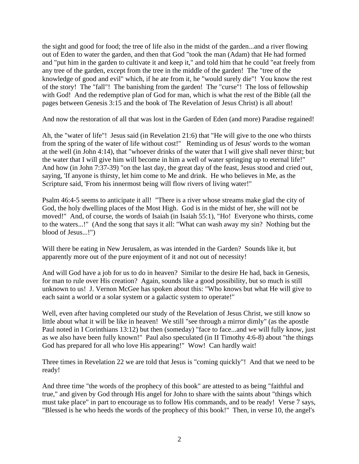the sight and good for food; the tree of life also in the midst of the garden...and a river flowing out of Eden to water the garden, and then that God "took the man (Adam) that He had formed and "put him in the garden to cultivate it and keep it," and told him that he could "eat freely from any tree of the garden, except from the tree in the middle of the garden! The "tree of the knowledge of good and evil" which, if he ate from it, he "would surely die"! You know the rest of the story! The "fall"! The banishing from the garden! The "curse"! The loss of fellowship with God! And the redemptive plan of God for man, which is what the rest of the Bible (all the pages between Genesis 3:15 and the book of The Revelation of Jesus Christ) is all about!

And now the restoration of all that was lost in the Garden of Eden (and more) Paradise regained!

Ah, the "water of life"! Jesus said (in Revelation 21:6) that "He will give to the one who thirsts from the spring of the water of life without cost!" Reminding us of Jesus' words to the woman at the well (in John 4:14), that "whoever drinks of the water that I will give shall never thirst; but the water that I will give him will become in him a well of water springing up to eternal life!" And how (in John 7:37-39) "on the last day, the great day of the feast, Jesus stood and cried out, saying, 'If anyone is thirsty, let him come to Me and drink. He who believes in Me, as the Scripture said, 'From his innermost being will flow rivers of living water!"

Psalm 46:4-5 seems to anticipate it all! "There is a river whose streams make glad the city of God, the holy dwelling places of the Most High. God is in the midst of her, she will not be moved!" And, of course, the words of Isaiah (in Isaiah 55:1), "Ho! Everyone who thirsts, come to the waters...!" (And the song that says it all: "What can wash away my sin? Nothing but the blood of Jesus...!")

Will there be eating in New Jerusalem, as was intended in the Garden? Sounds like it, but apparently more out of the pure enjoyment of it and not out of necessity!

And will God have a job for us to do in heaven? Similar to the desire He had, back in Genesis, for man to rule over His creation? Again, sounds like a good possibility, but so much is still unknown to us! J. Vernon McGee has spoken about this: "Who knows but what He will give to each saint a world or a solar system or a galactic system to operate!"

Well, even after having completed our study of the Revelation of Jesus Christ, we still know so little about what it will be like in heaven! We still "see through a mirror dimly" (as the apostle Paul noted in I Corinthians 13:12) but then (someday) "face to face...and we will fully know, just as we also have been fully known!" Paul also speculated (in II Timothy 4:6-8) about "the things God has prepared for all who love His appearing!" Wow! Can hardly wait!

Three times in Revelation 22 we are told that Jesus is "coming quickly"! And that we need to be ready!

And three time "the words of the prophecy of this book" are attested to as being "faithful and true," and given by God through His angel for John to share with the saints about "things which must take place" in part to encourage us to follow His commands, and to be ready! Verse 7 says, "Blessed is he who heeds the words of the prophecy of this book!" Then, in verse 10, the angel's